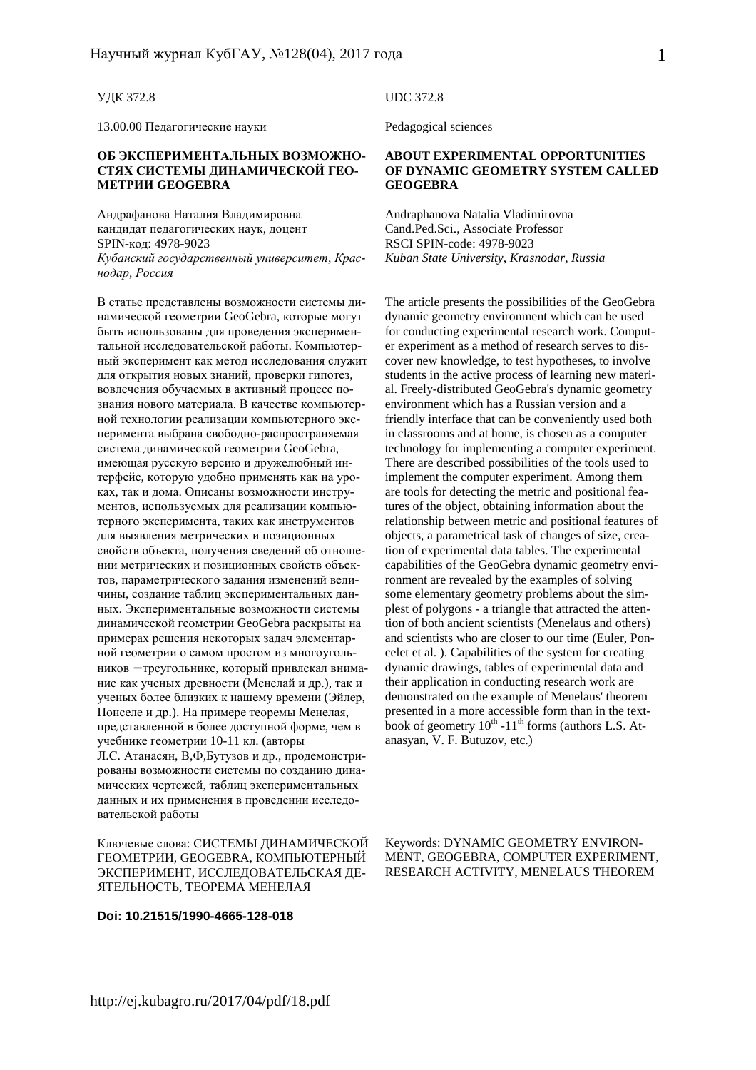#### УДК 372.8

13.00.00 Педагогические науки

#### **ОБ ЭКСПЕРИМЕНТАЛЬНЫХ ВОЗМОЖНО-СТЯХ СИСТЕМЫ ДИНАМИЧЕСКОЙ ГЕО-МЕТРИИ GEOGEBRA**

Андрафанова Наталия Владимировна кандидат педагогических наук, доцент SPIN-код: 4978-9023 *Кубанский государственный университет, Краснодар, Россия*

В статье представлены возможности системы динамической геометрии GeoGebra, которые могут быть использованы для проведения экспериментальной исследовательской работы. Компьютерный эксперимент как метод исследования служит для открытия новых знаний, проверки гипотез, вовлечения обучаемых в активный процесс познания нового материала. В качестве компьютерной технологии реализации компьютерного эксперимента выбрана свободно-распространяемая система динамической геометрии GeoGebra, имеющая русскую версию и дружелюбный интерфейс, которую удобно применять как на уроках, так и дома. Описаны возможности инструментов, используемых для реализации компьютерного эксперимента, таких как инструментов для выявления метрических и позиционных свойств объекта, получения сведений об отношении метрических и позиционных свойств объектов, параметрического задания изменений величины, создание таблиц экспериментальных данных. Экспериментальные возможности системы динамической геометрии GeoGebra раскрыты на примерах решения некоторых задач элементарной геометрии о самом простом из многоугольников − треугольнике, который привлекал внимание как ученых древности (Менелай и др.), так и ученых более близких к нашему времени (Эйлер, Понселе и др.). На примере теоремы Менелая, представленной в более доступной форме, чем в учебнике геометрии 10-11 кл. (авторы Л.С. Атанасян, В,Ф,Бутузов и др., продемонстрированы возможности системы по созданию динамических чертежей, таблиц экспериментальных данных и их применения в проведении исследовательской работы

Ключевые слова: СИСТЕМЫ ДИНАМИЧЕСКОЙ ГЕОМЕТРИИ, GEOGEBRA, КОМПЬЮТЕРНЫЙ ЭКСПЕРИМЕНТ, ИССЛЕДОВАТЕЛЬСКАЯ ДЕ-ЯТЕЛЬНОСТЬ, ТЕОРЕМА МЕНЕЛАЯ

#### **Doi: 10.21515/1990-4665-128-018**

UDC 372.8

Pedagogical sciences

#### **ABOUT EXPERIMENTAL OPPORTUNITIES OF DYNAMIC GEOMETRY SYSTEM CALLED GEOGEBRA**

Andraphanova Natalia Vladimirovna Cand.Ped.Sci., Associate Professor RSCI SPIN-code: 4978-9023 *Kuban State University, Krasnodar, Russia*

The article presents the possibilities of the GeoGebra dynamic geometry environment which can be used for conducting experimental research work. Computer experiment as a method of research serves to discover new knowledge, to test hypotheses, to involve students in the active process of learning new material. Freely-distributed GeoGebra's dynamic geometry environment which has a Russian version and a friendly interface that can be conveniently used both in classrooms and at home, is chosen as a computer technology for implementing a computer experiment. There are described possibilities of the tools used to implement the computer experiment. Among them are tools for detecting the metric and positional features of the object, obtaining information about the relationship between metric and positional features of objects, a parametrical task of changes of size, creation of experimental data tables. The experimental capabilities of the GeoGebra dynamic geometry environment are revealed by the examples of solving some elementary geometry problems about the simplest of polygons - a triangle that attracted the attention of both ancient scientists (Menelaus and others) and scientists who are closer to our time (Euler, Poncelet et al. ). Capabilities of the system for creating dynamic drawings, tables of experimental data and their application in conducting research work are demonstrated on the example of Menelaus' theorem presented in a more accessible form than in the textbook of geometry  $10^{th}$  -11<sup>th</sup> forms (authors L.S. Atanasyan, V. F. Butuzov, etc.)

Keywords: DYNAMIC GEOMETRY ENVIRON-MENT, GEOGEBRA, COMPUTER EXPERIMENT, RESEARCH ACTIVITY, MENELAUS THEOREM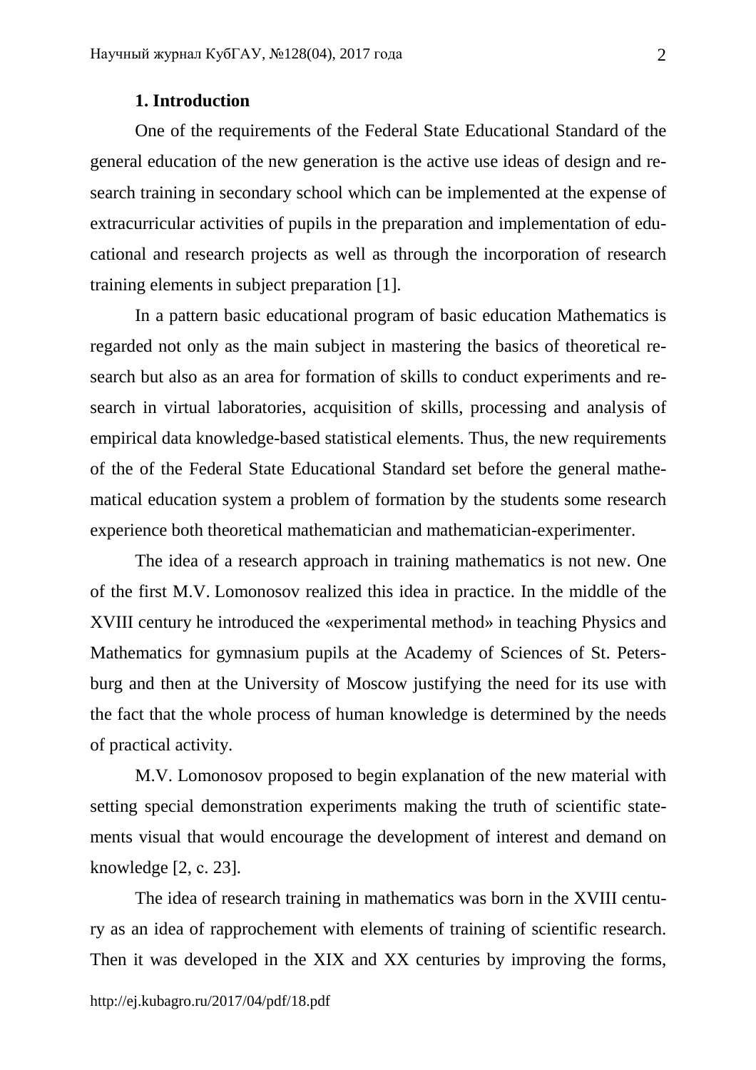### **1. Introduction**

One of the requirements of the Federal State Educational Standard of the general education of the new generation is the active use ideas of design and research training in secondary school which can be implemented at the expense of extracurricular activities of pupils in the preparation and implementation of educational and research projects as well as through the incorporation of research training elements in subject preparation [1].

In a pattern basic educational program of basic education Mathematics is regarded not only as the main subject in mastering the basics of theoretical research but also as an area for formation of skills to conduct experiments and research in virtual laboratories, acquisition of skills, processing and analysis of empirical data knowledge-based statistical elements. Thus, the new requirements of the of the Federal State Educational Standard set before the general mathematical education system a problem of formation by the students some research experience both theoretical mathematician and mathematician-experimenter.

The idea of a research approach in training mathematics is not new. One of the first M.V. Lomonosov realized this idea in practice. In the middle of the XVIII century he introduced the «experimental method» in teaching Physics and Mathematics for gymnasium pupils at the Academy of Sciences of St. Petersburg and then at the University of Moscow justifying the need for its use with the fact that the whole process of human knowledge is determined by the needs of practical activity.

M.V. Lomonosov proposed to begin explanation of the new material with setting special demonstration experiments making the truth of scientific statements visual that would encourage the development of interest and demand on knowledge [2, с. 23].

The idea of research training in mathematics was born in the XVIII century as an idea of rapprochement with elements of training of scientific research. Then it was developed in the XIX and XX centuries by improving the forms,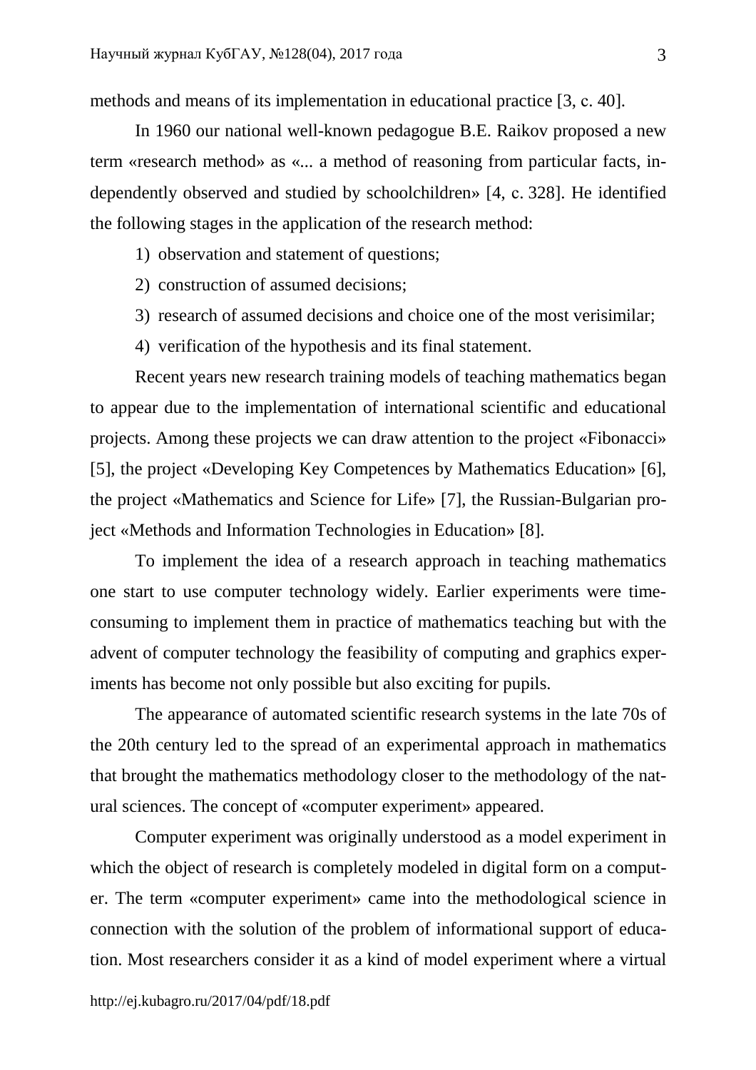methods and means of its implementation in educational practice [3, c. 40].

In 1960 our national well-known pedagogue B.E. Raikov proposed a new term «research method» as «*...* a method of reasoning from particular facts, independently observed and studied by schoolchildren» [4, с. 328]. He identified the following stages in the application of the research method:

- 1) observation and statement of questions;
- 2) construction of assumed decisions;
- 3) research of assumed decisions and choice one of the most verisimilar;
- 4) verification of the hypothesis and its final statement.

Recent years new research training models of teaching mathematics began to appear due to the implementation of international scientific and educational projects. Among these projects we can draw attention to the project «Fibonacci» [5], the project «Developing Key Competences by Mathematics Education» [6], the project «Mathematics and Science for Life» [7], the Russian-Bulgarian project «Methods and Information Technologies in Education» [8].

To implement the idea of a research approach in teaching mathematics one start to use computer technology widely. Earlier experiments were timeconsuming to implement them in practice of mathematics teaching but with the advent of computer technology the feasibility of computing and graphics experiments has become not only possible but also exciting for pupils.

The appearance of automated scientific research systems in the late 70s of the 20th century led to the spread of an experimental approach in mathematics that brought the mathematics methodology closer to the methodology of the natural sciences. The concept of «computer experiment» appeared.

Computer experiment was originally understood as a model experiment in which the object of research is completely modeled in digital form on a computer. The term «computer experiment» came into the methodological science in connection with the solution of the problem of informational support of education. Most researchers consider it as a kind of model experiment where a virtual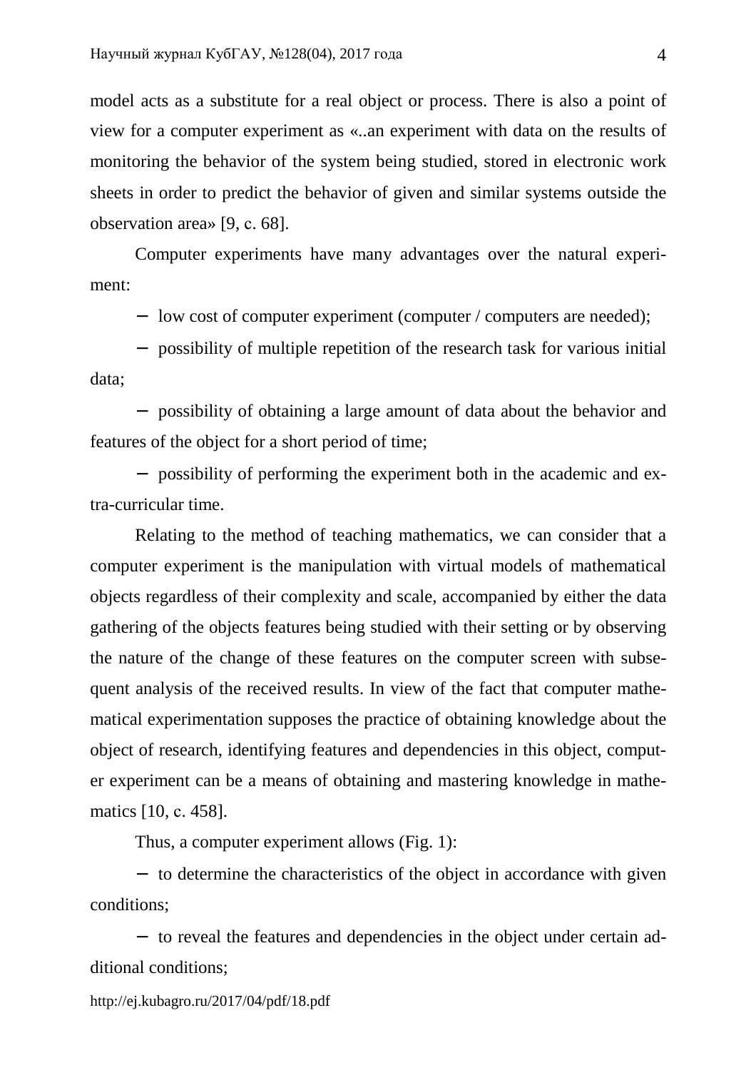model acts as a substitute for a real object or process. There is also a point of view for a computer experiment as «*..*an experiment with data on the results of monitoring the behavior of the system being studied, stored in electronic work sheets in order to predict the behavior of given and similar systems outside the observation area» [9, с. 68].

Computer experiments have many advantages over the natural experiment:

− low cost of computer experiment (computer / computers are needed);

− possibility of multiple repetition of the research task for various initial data;

− possibility of obtaining a large amount of data about the behavior and features of the object for a short period of time;

− possibility of performing the experiment both in the academic and extra-curricular time.

Relating to the method of teaching mathematics, we can consider that a computer experiment is the manipulation with virtual models of mathematical objects regardless of their complexity and scale, accompanied by either the data gathering of the objects features being studied with their setting or by observing the nature of the change of these features on the computer screen with subsequent analysis of the received results. In view of the fact that computer mathematical experimentation supposes the practice of obtaining knowledge about the object of research, identifying features and dependencies in this object, computer experiment can be a means of obtaining and mastering knowledge in mathematics [10, с. 458].

Thus, a computer experiment allows (Fig. 1):

− to determine the characteristics of the object in accordance with given conditions;

− to reveal the features and dependencies in the object under certain additional conditions;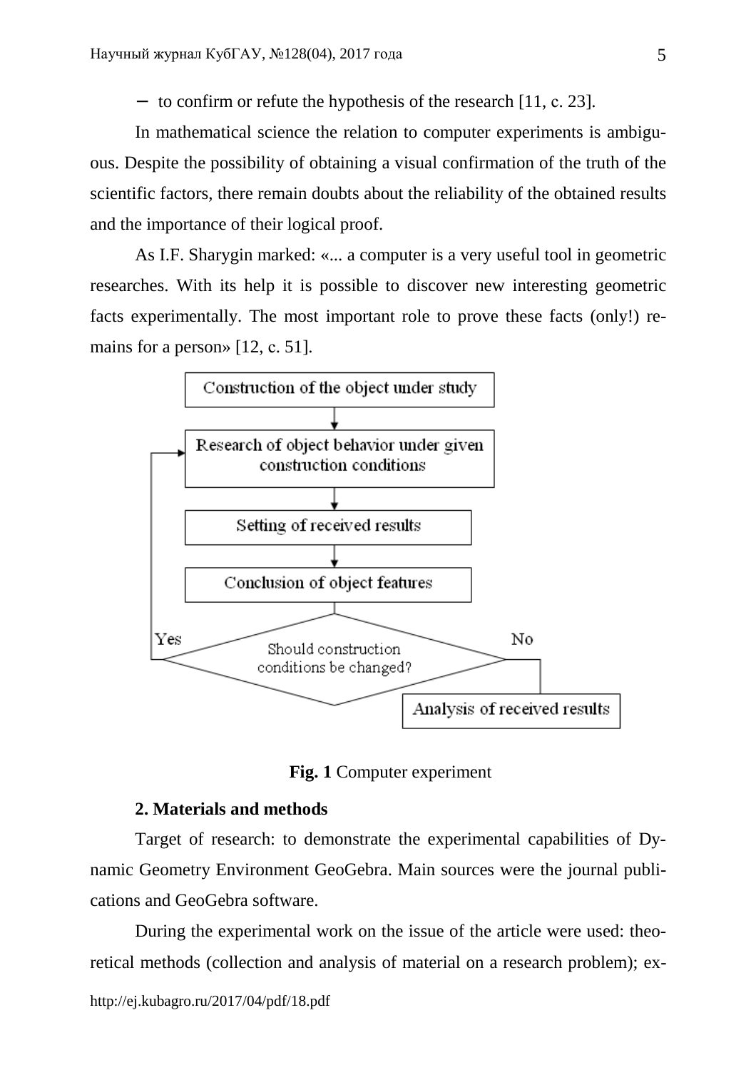− to confirm or refute the hypothesis of the research [11, с. 23].

In mathematical science the relation to computer experiments is ambiguous. Despite the possibility of obtaining a visual confirmation of the truth of the scientific factors, there remain doubts about the reliability of the obtained results and the importance of their logical proof.

As I.F. Sharygin marked: «... a computer is a very useful tool in geometric researches. With its help it is possible to discover new interesting geometric facts experimentally. The most important role to prove these facts (only!) remains for a person» [12, c. 51].



**Fig. 1** Computer experiment

### **2. Materials and methods**

Target of research: to demonstrate the experimental capabilities of Dynamic Geometry Environment GeoGebra. Main sources were the journal publications and GeoGebra software.

During the experimental work on the issue of the article were used: theoretical methods (collection and analysis of material on a research problem); ex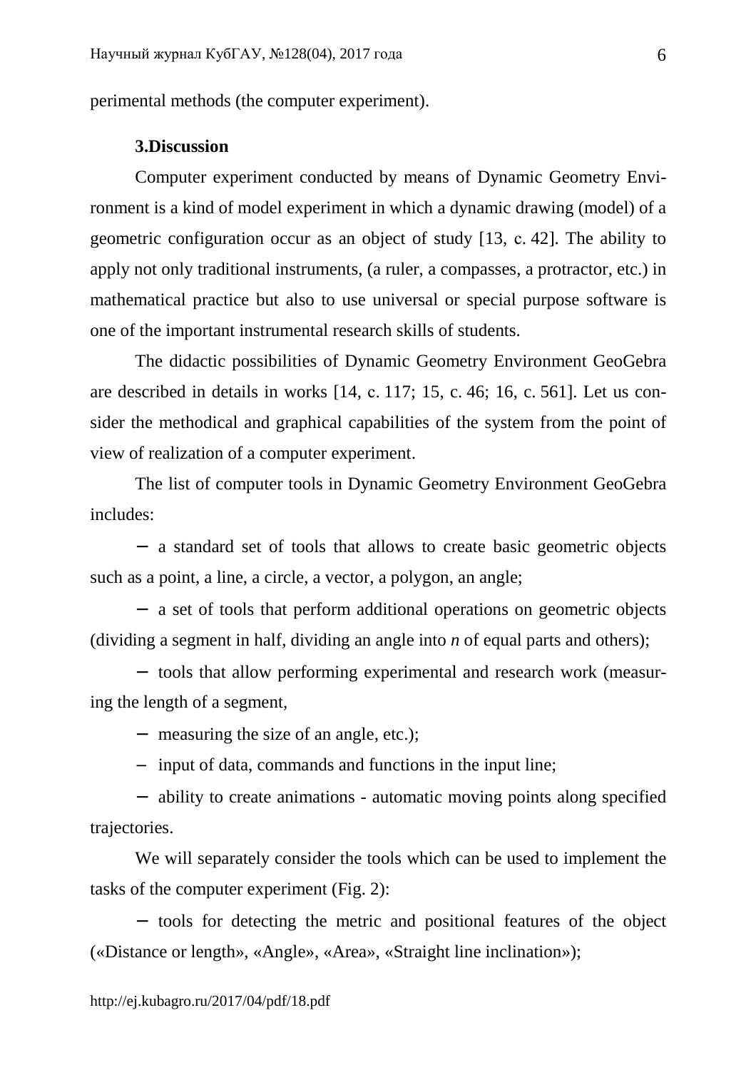perimental methods (the computer experiment).

#### **3.Discussion**

Computer experiment conducted by means of Dynamic Geometry Environment is a kind of model experiment in which a dynamic drawing (model) of a geometric configuration occur as an object of study [13, с. 42]. The ability to apply not only traditional instruments, (a ruler, a compasses, a protractor, etc.) in mathematical practice but also to use universal or special purpose software is one of the important instrumental research skills of students.

The didactic possibilities of Dynamic Geometry Environment GeoGebra are described in details in works [14, с. 117; 15, c. 46; 16, c. 561]. Let us consider the methodical and graphical capabilities of the system from the point of view of realization of a computer experiment.

The list of computer tools in Dynamic Geometry Environment GeoGebra includes:

− a standard set of tools that allows to create basic geometric objects such as a point, a line, a circle, a vector, a polygon, an angle;

− a set of tools that perform additional operations on geometric objects (dividing a segment in half, dividing an angle into *n* of equal parts and others);

− tools that allow performing experimental and research work (measuring the length of a segment,

− measuring the size of an angle, etc.);

− input of data, commands and functions in the input line;

− ability to create animations - automatic moving points along specified trajectories.

We will separately consider the tools which can be used to implement the tasks of the computer experiment (Fig. 2):

− tools for detecting the metric and positional features of the object («Distance or length», «Angle», «Area», «Straight line inclination»);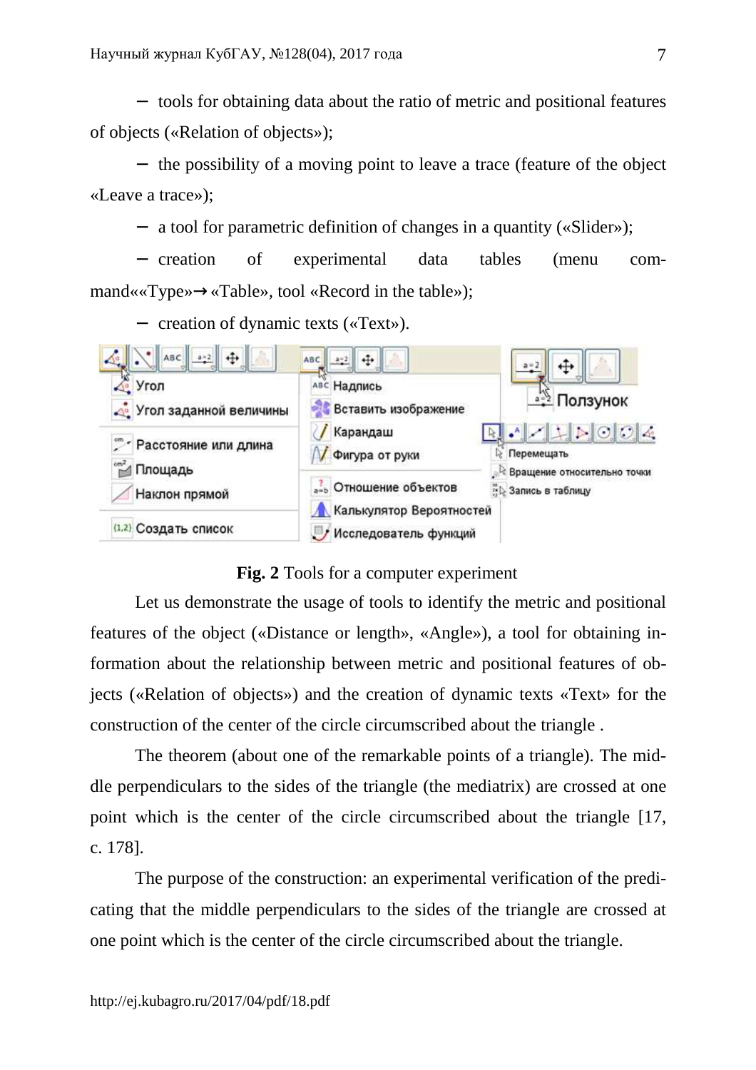− tools for obtaining data about the ratio of metric and positional features of objects («Relation of objects»);

− the possibility of a moving point to leave a trace (feature of the object «Leave a trace»);

− a tool for parametric definition of changes in a quantity («Slider»);

− creation of experimental data tables (menu command««Type»→«Table»*,* tool «Record in the table»);

− creation of dynamic texts («Text»).



**Fig. 2** Tools for a computer experiment

Let us demonstrate the usage of tools to identify the metric and positional features of the object («Distance or length», «Angle»), a tool for obtaining information about the relationship between metric and positional features of objects («Relation of objects») and the creation of dynamic texts «Text» for the construction of the center of the circle circumscribed about the triangle .

The theorem (about one of the remarkable points of a triangle). The middle perpendiculars to the sides of the triangle (the mediatrix) are crossed at one point which is the center of the circle circumscribed about the triangle [17, c. 178].

The purpose of the construction: an experimental verification of the predicating that the middle perpendiculars to the sides of the triangle are crossed at one point which is the center of the circle circumscribed about the triangle.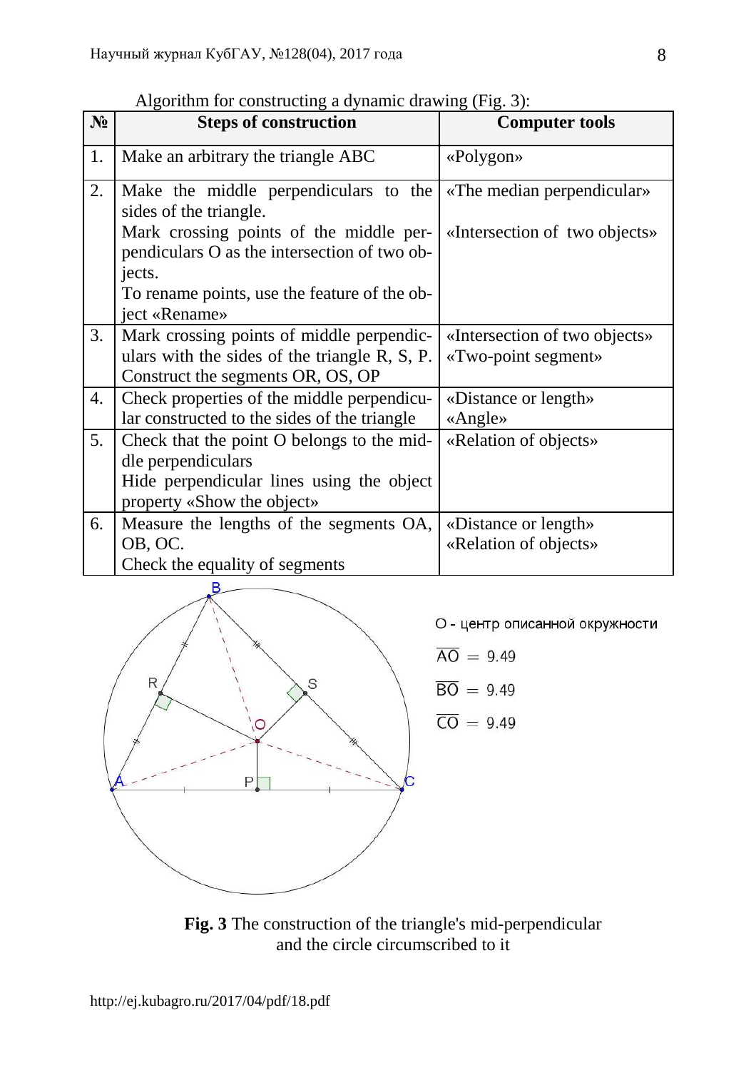|                | $\alpha$ a syntamic for constructing a dynamic drawing $(1.1g, 3)$ . |                               |  |  |
|----------------|----------------------------------------------------------------------|-------------------------------|--|--|
| N <sub>2</sub> | <b>Steps of construction</b>                                         | <b>Computer tools</b>         |  |  |
| 1.             | Make an arbitrary the triangle ABC                                   | $\ll$ Polygon»                |  |  |
|                |                                                                      |                               |  |  |
| 2.             | Make the middle perpendiculars to the                                | «The median perpendicular»    |  |  |
|                | sides of the triangle.                                               |                               |  |  |
|                | Mark crossing points of the middle per-                              | «Intersection of two objects» |  |  |
|                | pendiculars O as the intersection of two ob-                         |                               |  |  |
|                | jects.                                                               |                               |  |  |
|                | To rename points, use the feature of the ob-                         |                               |  |  |
|                | ject «Rename»                                                        |                               |  |  |
| 3.             | Mark crossing points of middle perpendic-                            | «Intersection of two objects» |  |  |
|                | ulars with the sides of the triangle R, S, P.                        | «Two-point segment»           |  |  |
|                | Construct the segments OR, OS, OP                                    |                               |  |  |
| 4.             | Check properties of the middle perpendicu-                           | «Distance or length»          |  |  |
|                | lar constructed to the sides of the triangle                         | $\triangle$ Angle»            |  |  |
| 5.             | Check that the point O belongs to the mid-                           | «Relation of objects»         |  |  |
|                | dle perpendiculars                                                   |                               |  |  |
|                | Hide perpendicular lines using the object                            |                               |  |  |
|                | property «Show the object»                                           |                               |  |  |
| 6.             | Measure the lengths of the segments OA,                              | «Distance or length»          |  |  |
|                | OB, OC.                                                              | «Relation of objects»         |  |  |
|                | Check the equality of segments                                       |                               |  |  |

Algorithm for constructing a dynamic drawing  $(Fi)$ :



О - центр описанной окружности

$$
\overline{AO} = 9.49
$$

$$
\overline{30} = 9.49
$$

$$
\overline{\text{CO}} = 9.49
$$

**Fig. 3** The construction of the triangle's mid-perpendicular and the circle circumscribed to it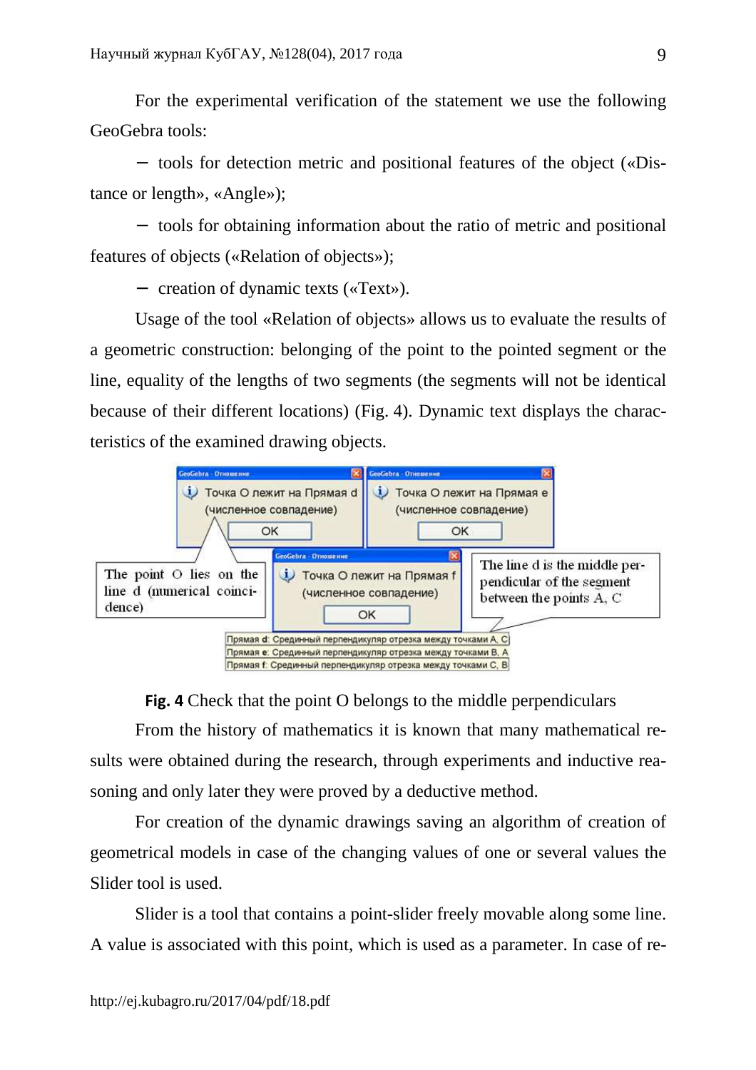For the experimental verification of the statement we use the following GeoGebra tools:

− tools for detection metric and positional features of the object («Distance or length», «Angle»);

− tools for obtaining information about the ratio of metric and positional features of objects («Relation of objects»);

− creation of dynamic texts («Text»).

Usage of the tool «Relation of objects» allows us to evaluate the results of a geometric construction: belonging of the point to the pointed segment or the line, equality of the lengths of two segments (the segments will not be identical because of their different locations) (Fig. 4). Dynamic text displays the characteristics of the examined drawing objects.



**Fig. 4** Check that the point O belongs to the middle perpendiculars

From the history of mathematics it is known that many mathematical results were obtained during the research, through experiments and inductive reasoning and only later they were proved by a deductive method.

For creation of the dynamic drawings saving an algorithm of creation of geometrical models in case of the changing values of one or several values the Slider tool is used.

Slider is a tool that contains a point-slider freely movable along some line. A value is associated with this point, which is used as a parameter. In case of re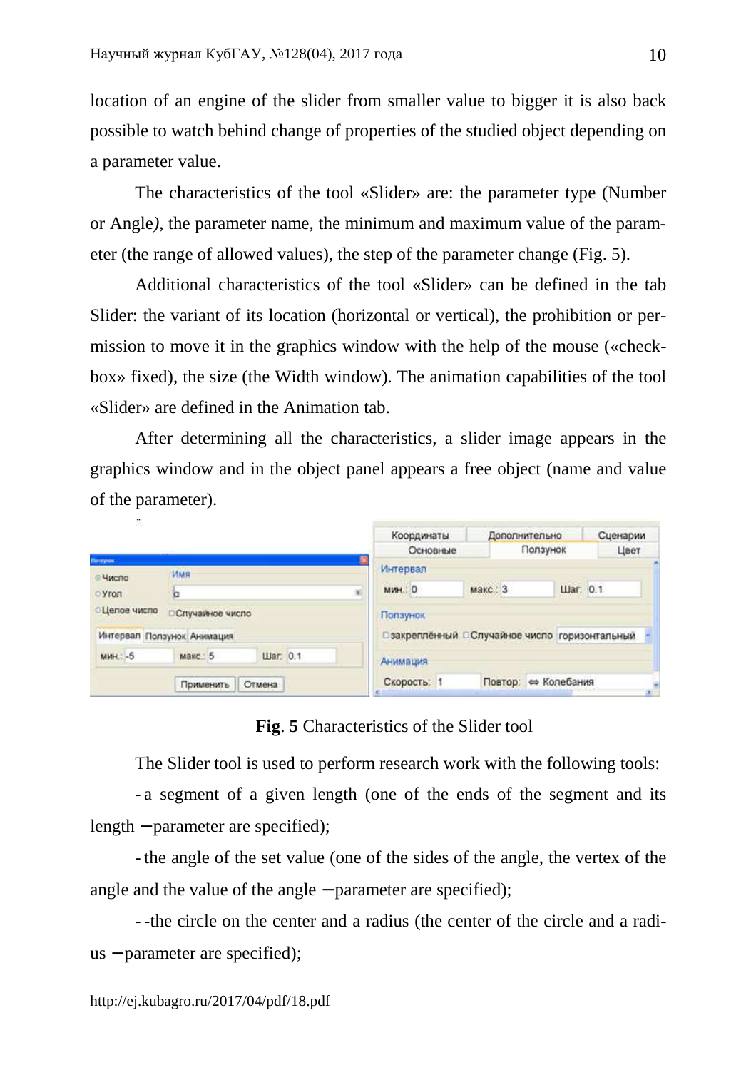location of an engine of the slider from smaller value to bigger it is also back possible to watch behind change of properties of the studied object depending on a parameter value.

The characteristics of the tool «Slider» are: the parameter type (Number or Angle*)*, the parameter name, the minimum and maximum value of the parameter (the range of allowed values), the step of the parameter change (Fig. 5).

Additional characteristics of the tool «Slider» can be defined in the tab Slider: the variant of its location (horizontal or vertical), the prohibition or permission to move it in the graphics window with the help of the mouse («checkbox» fixed), the size (the Width window). The animation capabilities of the tool «Slider» are defined in the Animation tab.

After determining all the characteristics, a slider image appears in the graphics window and in the object panel appears a free object (name and value of the parameter).

|                          |                            |                 |          | Координаты  | Дополнительно                                   |          | Сценарии |
|--------------------------|----------------------------|-----------------|----------|-------------|-------------------------------------------------|----------|----------|
|                          |                            | Основные        | Ползунок |             | Цвет                                            |          |          |
| <b>Champion</b><br>Hисло | Имя<br>×<br>b              |                 | Интервал |             |                                                 |          |          |
| O Vron                   |                            |                 |          | мин.: 0     | макс.: 3                                        | War: 0.1 |          |
| <b>Целое число</b>       | □Случайное число           |                 |          | Ползунок    |                                                 |          |          |
|                          | Интервал Ползунок Анимация |                 |          |             | □ закреплённый □ Случайное число горизонтальный |          |          |
| мин.: -5                 | макс.: 5                   | <b>Har. 0.1</b> |          | Анимация    |                                                 |          |          |
|                          | Применить                  | Отмена          |          | Скорость: 1 | Повтор: ⇔ Колебания                             |          |          |

**Fig**. **5** Characteristics of the Slider tool

The Slider tool is used to perform research work with the following tools:

- a segment of a given length (one of the ends of the segment and its length − parameter are specified);

- the angle of the set value (one of the sides of the angle, the vertex of the angle and the value of the angle − parameter are specified);

- -the circle on the center and a radius (the center of the circle and a radius − parameter are specified);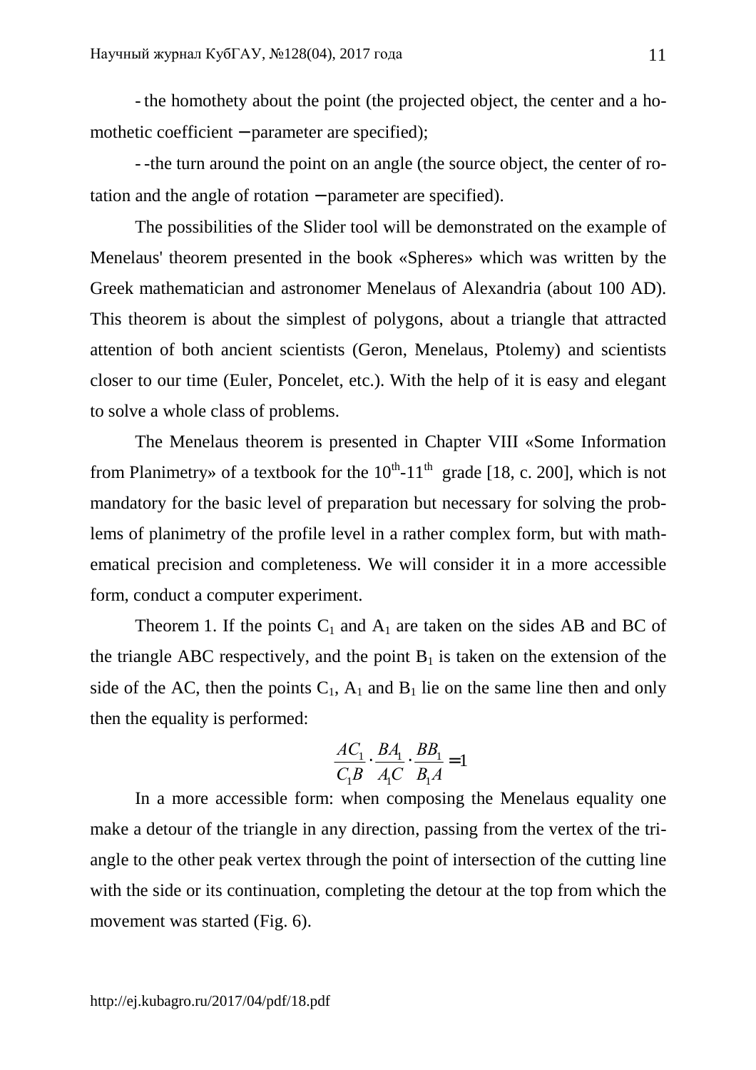- the homothety about the point (the projected object, the center and a homothetic coefficient − parameter are specified);

- -the turn around the point on an angle (the source object, the center of rotation and the angle of rotation − parameter are specified).

The possibilities of the Slider tool will be demonstrated on the example of Menelaus' theorem presented in the book «Spheres» which was written by the Greek mathematician and astronomer Menelaus of Alexandria (about 100 AD). This theorem is about the simplest of polygons, about a triangle that attracted attention of both ancient scientists (Geron, Menelaus, Ptolemy) and scientists closer to our time (Euler, Poncelet, etc.). With the help of it is easy and elegant to solve a whole class of problems.

The Menelaus theorem is presented in Chapter VIII «Some Information from Planimetry» of a textbook for the  $10^{th}$ -11<sup>th</sup> grade [18, c. 200], which is not mandatory for the basic level of preparation but necessary for solving the problems of planimetry of the profile level in a rather complex form, but with mathematical precision and completeness. We will consider it in a more accessible form, conduct a computer experiment.

Theorem 1. If the points  $C_1$  and  $A_1$  are taken on the sides AB and BC of the triangle ABC respectively, and the point  $B_1$  is taken on the extension of the side of the AC, then the points  $C_1$ ,  $A_1$  and  $B_1$  lie on the same line then and only then the equality is performed:

$$
\frac{AC_1}{C_1B} \cdot \frac{BA_1}{A_1C} \cdot \frac{BB_1}{B_1A} = 1
$$

In a more accessible form: when composing the Menelaus equality one make a detour of the triangle in any direction, passing from the vertex of the triangle to the other peak vertex through the point of intersection of the cutting line with the side or its continuation, completing the detour at the top from which the movement was started (Fig. 6).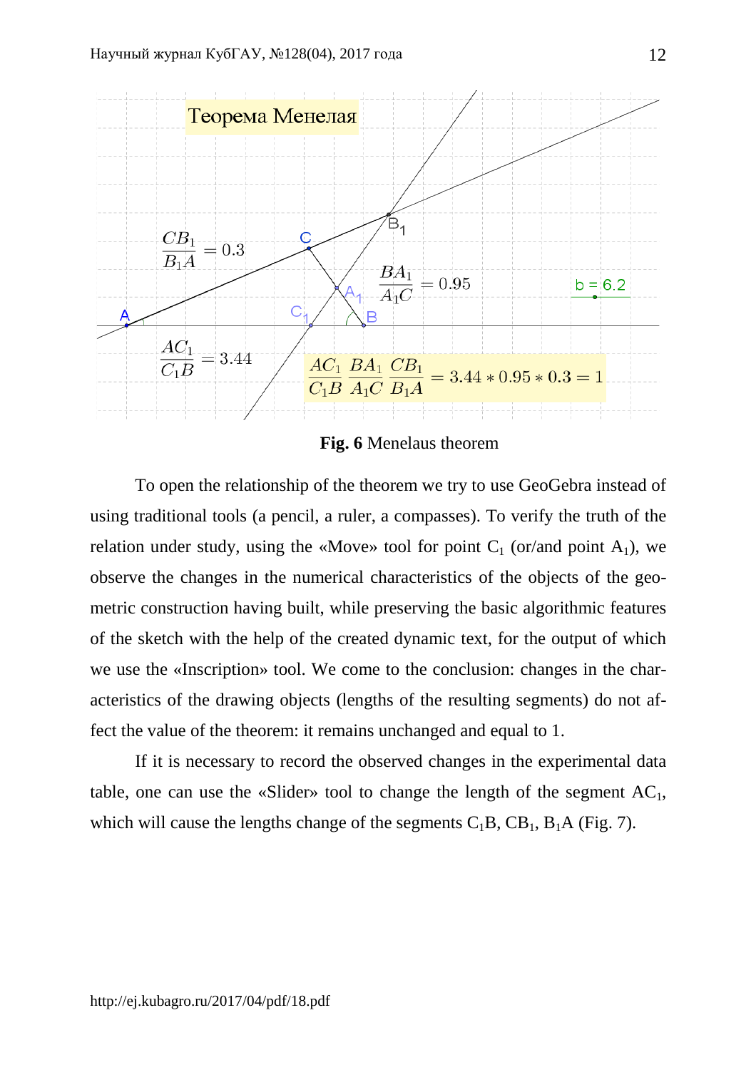

**Fig. 6** Menelaus theorem

To open the relationship of the theorem we try to use GeoGebra instead of using traditional tools (a pencil, a ruler, a compasses). To verify the truth of the relation under study, using the «Move» tool for point  $C_1$  (or/and point  $A_1$ ), we observe the changes in the numerical characteristics of the objects of the geometric construction having built, while preserving the basic algorithmic features of the sketch with the help of the created dynamic text, for the output of which we use the «Inscription» tool. We come to the conclusion: changes in the characteristics of the drawing objects (lengths of the resulting segments) do not affect the value of the theorem: it remains unchanged and equal to 1.

If it is necessary to record the observed changes in the experimental data table, one can use the «Slider» tool to change the length of the segment  $AC_1$ , which will cause the lengths change of the segments  $C_1B$ ,  $CB_1$ ,  $B_1A$  (Fig. 7).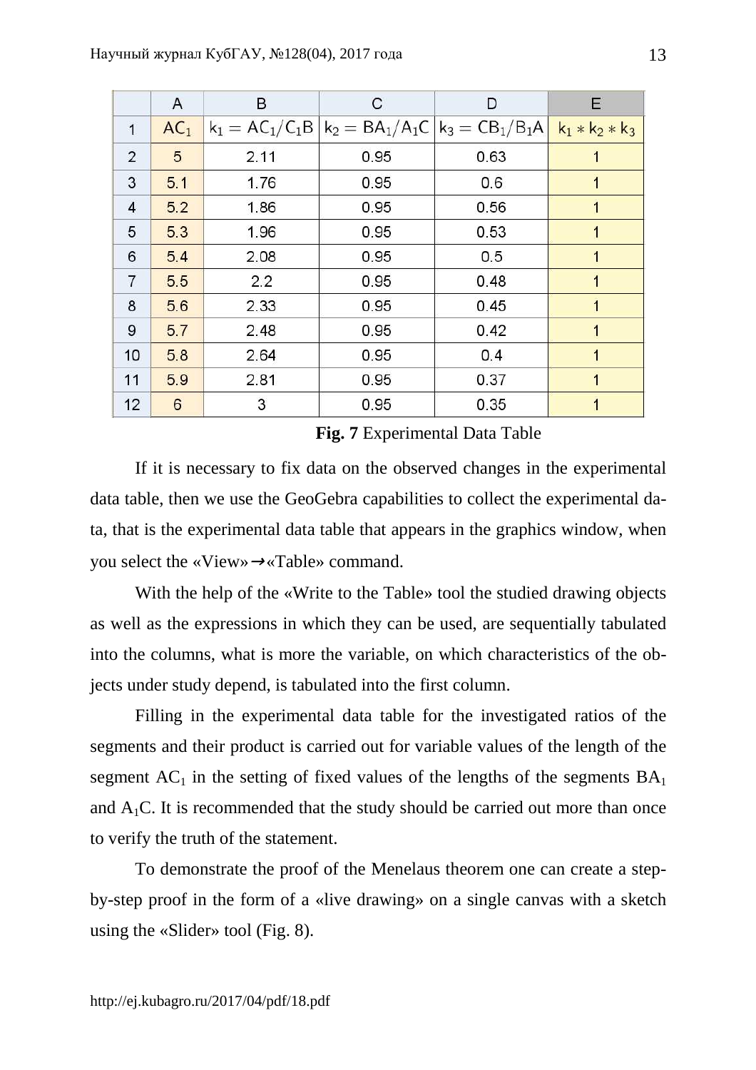|                | A               | B    | С                                                     | D    | Е                 |
|----------------|-----------------|------|-------------------------------------------------------|------|-------------------|
| $\mathbf{1}$   | AC <sub>1</sub> |      | $ k_1 = AC_1/C_1B  k_2 = BA_1/A_1C  k_3 = CB_1/B_1A $ |      | $k_1 * k_2 * k_3$ |
| $\overline{2}$ | 5               | 2.11 | 0.95                                                  | 0.63 |                   |
| 3              | 5.1             | 1.76 | 0.95                                                  | 0.6  | 1                 |
| $\overline{4}$ | 52              | 1.86 | 0.95                                                  | 0.56 | 1                 |
| 5              | 53              | 1.96 | 0.95                                                  | 0.53 | 1                 |
| 6              | 5.4             | 2.08 | 0.95                                                  | 0.5  | 1                 |
| $\overline{7}$ | 5.5             | 2.2  | 0.95                                                  | 0.48 | 1                 |
| 8              | 56              | 2.33 | 0.95                                                  | 0.45 | 1                 |
| 9              | 5.7             | 2.48 | 0.95                                                  | 0.42 | 1                 |
| 10             | 5.8             | 2.64 | 0.95                                                  | 0.4  | 1                 |
| 11             | 59              | 2.81 | 0.95                                                  | 0.37 | 1                 |
| 12             | 6               | 3    | 0.95                                                  | 0.35 |                   |

**Fig. 7** Experimental Data Table

If it is necessary to fix data on the observed changes in the experimental data table, then we use the GeoGebra capabilities to collect the experimental data, that is the experimental data table that appears in the graphics window, when you select the «View»→«Table» command.

With the help of the «Write to the Table» tool the studied drawing objects as well as the expressions in which they can be used, are sequentially tabulated into the columns, what is more the variable, on which characteristics of the objects under study depend, is tabulated into the first column.

Filling in the experimental data table for the investigated ratios of the segments and their product is carried out for variable values of the length of the segment  $AC_1$  in the setting of fixed values of the lengths of the segments  $BA_1$ and  $A_1C$ . It is recommended that the study should be carried out more than once to verify the truth of the statement.

To demonstrate the proof of the Menelaus theorem one can create a stepby-step proof in the form of a «live drawing» on a single canvas with a sketch using the «Slider» tool (Fig. 8).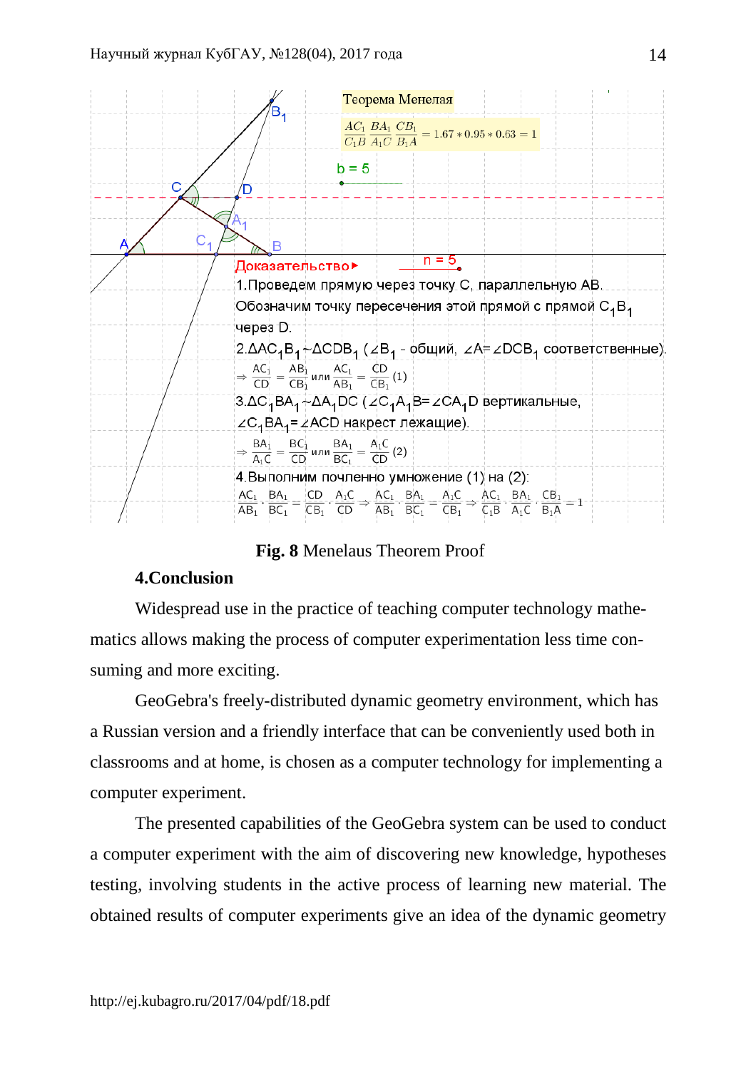

**Fig. 8** Menelaus Theorem Proof

# **4.Conclusion**

Widespread use in the practice of teaching computer technology mathematics allows making the process of computer experimentation less time consuming and more exciting.

GeoGebra's freely-distributed dynamic geometry environment, which has a Russian version and a friendly interface that can be conveniently used both in classrooms and at home, is chosen as a computer technology for implementing a computer experiment.

The presented capabilities of the GeoGebra system can be used to conduct a computer experiment with the aim of discovering new knowledge, hypotheses testing, involving students in the active process of learning new material. The obtained results of computer experiments give an idea of the dynamic geometry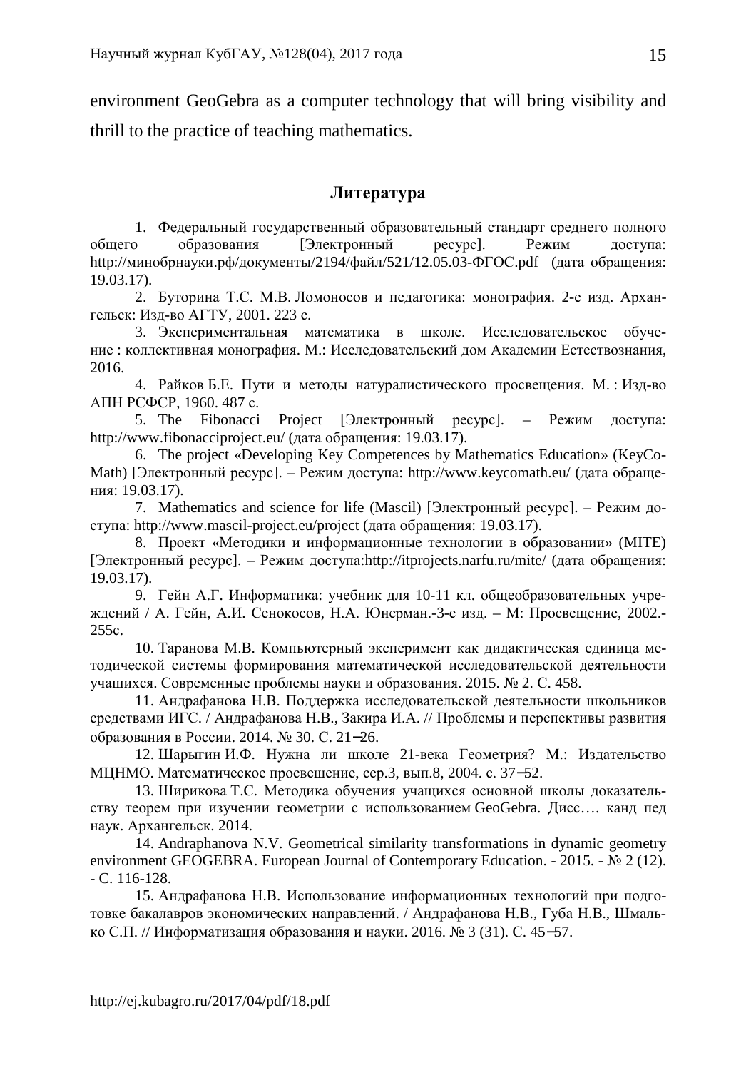environment GeoGebra as a computer technology that will bring visibility and thrill to the practice of teaching mathematics.

## **Литература**

1. Федеральный государственный образовательный стандарт среднего полного общего образования [Электронный ресурс]. Режим доступа: http://минобрнауки.рф/документы/2194/файл/521/12.05.03-ФГОС.pdf (дата обращения: 19.03.17).

2. Буторина Т.С. М.В. Ломоносов и педагогика: монография. 2-е изд. Архангельск: Изд-во АГТУ, 2001. 223 с.

3. Экспериментальная математика в школе. Исследовательское обучение : коллективная монография. М.: Исследовательский дом Академии Естествознания, 2016.

4. Райков Б.Е. Пути и методы натуралистического просвещения. М. : Изд-во АПН РСФСР, 1960. 487 с.

5. The Fibonacci Project [Электронный ресурс]. – Режим доступа: http://www.fibonacciproject.eu/ (дата обращения: 19.03.17).

6. The project «Developing Key Competences by Mathematics Education» (KeyCo-Math) [Электронный ресурс]. – Режим доступа: http://www.keycomath.eu/ (дата обращения: 19.03.17).

7. Mathematics and science for life (Mascil) [Электронный ресурс]. – Режим доступа: http://www.mascil-project.eu/project (дата обращения: 19.03.17).

8. Проект «Методики и информационные технологии в образовании» (MITE) [Электронный ресурс]. – Режим доступа:http://itprojects.narfu.ru/mite/ (дата обращения: 19.03.17).

9. Гейн А.Г. Информатика: учебник для 10-11 кл. общеобразовательных учреждений / А. Гейн, А.И. Сенокосов, Н.А. Юнерман.-3-е изд. – М: Просвещение, 2002.- 255с.

10. Таранова М.В. Компьютерный эксперимент как дидактическая единица методической системы формирования математической исследовательской деятельности учащихся. Современные проблемы науки и образования. 2015. № 2. С. 458.

11. Андрафанова Н.В. Поддержка исследовательской деятельности школьников средствами ИГС. / Андрафанова Н.В., Закира И.А. // Проблемы и перспективы развития образования в России. 2014. № 30. С. 21−26.

12. Шарыгин И.Ф. Нужна ли школе 21-века Геометрия? М.: Издательство МЦНМО. Математическое просвещение, сер.3, вып.8, 2004. с. 37−52.

13. Ширикова Т.С. Методика обучения учащихся основной школы доказательству теорем при изучении геометрии с использованием GeoGebra. Дисс…. канд пед наук. Архангельск. 2014.

14. Andraphanova N.V. Geometrical similarity transformations in dynamic geometry environment GEOGEBRA. European Journal of Contemporary Education. - 2015. - № 2 (12). - C. 116-128.

15. Андрафанова Н.В. Использование информационных технологий при подготовке бакалавров экономических направлений. / Андрафанова Н.В., Губа Н.В., Шмалько С.П. // Информатизация образования и науки. 2016. № 3 (31). С. 45−57.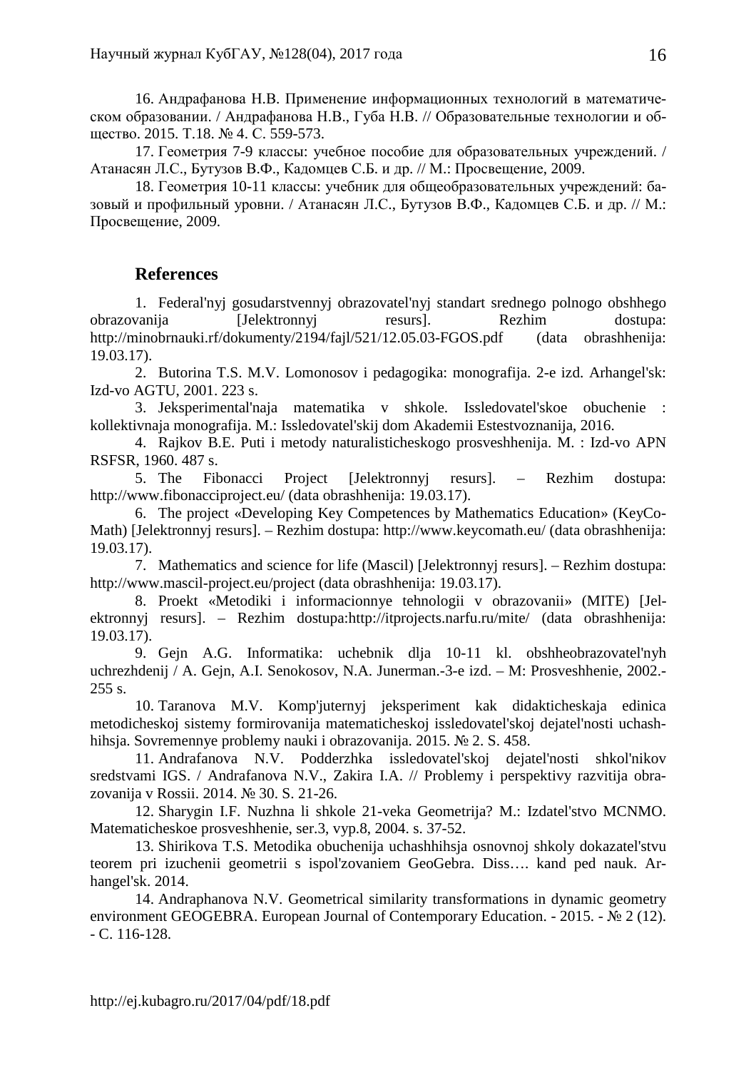16. Андрафанова Н.В. Применение информационных технологий в математическом образовании. / Андрафанова Н.В., Губа Н.В. // Образовательные технологии и общество. 2015. Т.18. № 4. С. 559-573.

17. Геометрия 7-9 классы: учебное пособие для образовательных учреждений. / Атанасян Л.С., Бутузов В.Ф., Кадомцев С.Б. и др. // М.: Просвещение, 2009.

18. Геометрия 10-11 классы: учебник для общеобразовательных учреждений: базовый и профильный уровни. / Атанасян Л.С., Бутузов В.Ф., Кадомцев С.Б. и др. // М.: Просвещение, 2009.

# **References**

1. Federal'nyj gosudarstvennyj obrazovatel'nyj standart srednego polnogo obshhego obrazovanija [Jelektronnyj resurs]. Rezhim dostupa: http://minobrnauki.rf/dokumenty/2194/fajl/521/12.05.03-FGOS.pdf (data obrashhenija: 19.03.17).

2. Butorina T.S. M.V. Lomonosov i pedagogika: monografija. 2-e izd. Arhangel'sk: Izd-vo AGTU, 2001. 223 s.

3. Jeksperimental'naja matematika v shkole. Issledovatel'skoe obuchenie : kollektivnaja monografija. M.: Issledovatel'skij dom Akademii Estestvoznanija, 2016.

4. Rajkov B.E. Puti i metody naturalisticheskogo prosveshhenija. M. : Izd-vo APN RSFSR, 1960. 487 s.

5. The Fibonacci Project [Jelektronnyj resurs]. – Rezhim dostupa: http://www.fibonacciproject.eu/ (data obrashhenija: 19.03.17).

6. The project «Developing Key Competences by Mathematics Education» (KeyCo-Math) [Jelektronnyj resurs]. – Rezhim dostupa: http://www.keycomath.eu/ (data obrashhenija: 19.03.17).

7. Mathematics and science for life (Mascil) [Jelektronnyj resurs]. – Rezhim dostupa: http://www.mascil-project.eu/project (data obrashhenija: 19.03.17).

8. Proekt «Metodiki i informacionnye tehnologii v obrazovanii» (MITE) [Jelektronnyj resurs]. – Rezhim dostupa:http://itprojects.narfu.ru/mite/ (data obrashhenija: 19.03.17).

9. Gejn A.G. Informatika: uchebnik dlja 10-11 kl. obshheobrazovatel'nyh uchrezhdenij / A. Gejn, A.I. Senokosov, N.A. Junerman.-3-e izd. – M: Prosveshhenie, 2002.- 255 s.

10. Taranova M.V. Komp'juternyj jeksperiment kak didakticheskaja edinica metodicheskoj sistemy formirovanija matematicheskoj issledovatel'skoj dejatel'nosti uchashhihsja. Sovremennye problemy nauki i obrazovanija. 2015. № 2. S. 458.

11. Andrafanova N.V. Podderzhka issledovatel'skoj dejatel'nosti shkol'nikov sredstvami IGS. / Andrafanova N.V., Zakira I.A. // Problemy i perspektivy razvitija obrazovanija v Rossii. 2014. № 30. S. 21-26.

12. Sharygin I.F. Nuzhna li shkole 21-veka Geometrija? M.: Izdatel'stvo MCNMO. Matematicheskoe prosveshhenie, ser.3, vyp.8, 2004. s. 37-52.

13. Shirikova T.S. Metodika obuchenija uchashhihsja osnovnoj shkoly dokazatel'stvu teorem pri izuchenii geometrii s ispol'zovaniem GeoGebra. Diss…. kand ped nauk. Arhangel'sk. 2014.

14. Andraphanova N.V. Geometrical similarity transformations in dynamic geometry environment GEOGEBRA. European Journal of Contemporary Education. - 2015. - № 2 (12). - C. 116-128.